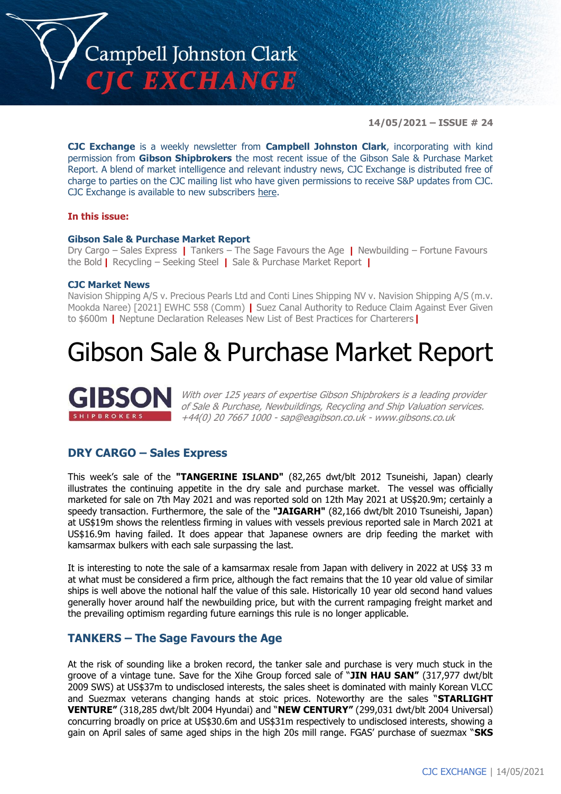

**14/05/2021 – ISSUE # 24**

**CJC Exchange** is a weekly newsletter from **Campbell Johnston Clark**, incorporating with kind permission from **Gibson Shipbrokers** the most recent issue of the Gibson Sale & Purchase Market Report. A blend of market intelligence and relevant industry news, CJC Exchange is distributed free of charge to parties on the CJC mailing list who have given permissions to receive S&P updates from CJC. CJC Exchange is available to new subscribers [here.](mailto:jamesc@cjclaw.com?subject=CJC%20Exchange%20sign-up)

#### **In this issue:**

#### **Gibson Sale & Purchase Market Report**

Dry Cargo – Sales Express **|** Tankers – The Sage Favours the Age **|** Newbuilding – Fortune Favours the Bold **|** Recycling – Seeking Steel **|** Sale & Purchase Market Report **|**

#### **CJC Market News**

Navision Shipping A/S v. Precious Pearls Ltd and Conti Lines Shipping NV v. Navision Shipping A/S (m.v. Mookda Naree) [2021] EWHC 558 (Comm) **|** Suez Canal Authority to Reduce Claim Against Ever Given to \$600m **|** Neptune Declaration Releases New List of Best Practices for Charterers**|**

## Gibson Sale & Purchase Market Report



With over 125 years of expertise Gibson Shipbrokers is a leading provider of Sale & Purchase, Newbuildings, Recycling and Ship Valuation services. +44(0) 20 7667 1000 - [sap@eagibson.co.uk](mailto:sap@eagibson.co.uk) - [www.gibsons.co.uk](https://protect-eu.mimecast.com/s/VO6nCGZzRS60KqcK1jQh/)

## **DRY CARGO – Sales Express**

This week's sale of the **"TANGERINE ISLAND"** (82,265 dwt/blt 2012 Tsuneishi, Japan) clearly illustrates the continuing appetite in the dry sale and purchase market. The vessel was officially marketed for sale on 7th May 2021 and was reported sold on 12th May 2021 at US\$20.9m; certainly a speedy transaction. Furthermore, the sale of the **"JAIGARH"** (82,166 dwt/blt 2010 Tsuneishi, Japan) at US\$19m shows the relentless firming in values with vessels previous reported sale in March 2021 at US\$16.9m having failed. It does appear that Japanese owners are drip feeding the market with kamsarmax bulkers with each sale surpassing the last.

It is interesting to note the sale of a kamsarmax resale from Japan with delivery in 2022 at US\$ 33 m at what must be considered a firm price, although the fact remains that the 10 year old value of similar ships is well above the notional half the value of this sale. Historically 10 year old second hand values generally hover around half the newbuilding price, but with the current rampaging freight market and the prevailing optimism regarding future earnings this rule is no longer applicable.

### **TANKERS – The Sage Favours the Age**

At the risk of sounding like a broken record, the tanker sale and purchase is very much stuck in the groove of a vintage tune. Save for the Xihe Group forced sale of "**JIN HAU SAN"** (317,977 dwt/blt 2009 SWS) at US\$37m to undisclosed interests, the sales sheet is dominated with mainly Korean VLCC and Suezmax veterans changing hands at stoic prices. Noteworthy are the sales "**STARLIGHT VENTURE"** (318,285 dwt/blt 2004 Hyundai) and "**NEW CENTURY"** (299,031 dwt/blt 2004 Universal) concurring broadly on price at US\$30.6m and US\$31m respectively to undisclosed interests, showing a gain on April sales of same aged ships in the high 20s mill range. FGAS' purchase of suezmax "**SKS**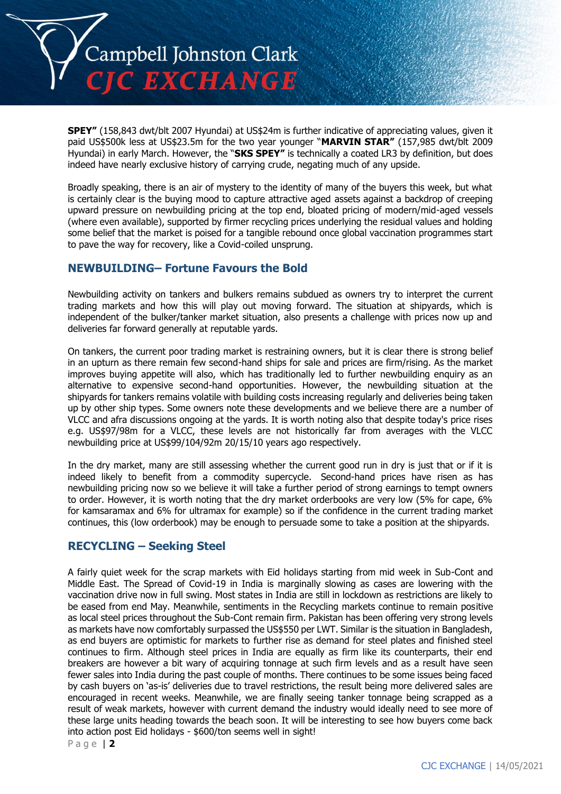

**SPEY"** (158,843 dwt/blt 2007 Hyundai) at US\$24m is further indicative of appreciating values, given it paid US\$500k less at US\$23.5m for the two year younger "**MARVIN STAR"** (157,985 dwt/blt 2009 Hyundai) in early March. However, the "**SKS SPEY"** is technically a coated LR3 by definition, but does indeed have nearly exclusive history of carrying crude, negating much of any upside.

Broadly speaking, there is an air of mystery to the identity of many of the buyers this week, but what is certainly clear is the buying mood to capture attractive aged assets against a backdrop of creeping upward pressure on newbuilding pricing at the top end, bloated pricing of modern/mid-aged vessels (where even available), supported by firmer recycling prices underlying the residual values and holding some belief that the market is poised for a tangible rebound once global vaccination programmes start to pave the way for recovery, like a Covid-coiled unsprung.

## **NEWBUILDING– Fortune Favours the Bold**

Newbuilding activity on tankers and bulkers remains subdued as owners try to interpret the current trading markets and how this will play out moving forward. The situation at shipyards, which is independent of the bulker/tanker market situation, also presents a challenge with prices now up and deliveries far forward generally at reputable yards.

On tankers, the current poor trading market is restraining owners, but it is clear there is strong belief in an upturn as there remain few second-hand ships for sale and prices are firm/rising. As the market improves buying appetite will also, which has traditionally led to further newbuilding enquiry as an alternative to expensive second-hand opportunities. However, the newbuilding situation at the shipyards for tankers remains volatile with building costs increasing regularly and deliveries being taken up by other ship types. Some owners note these developments and we believe there are a number of VLCC and afra discussions ongoing at the yards. It is worth noting also that despite today's price rises e.g. US\$97/98m for a VLCC, these levels are not historically far from averages with the VLCC newbuilding price at US\$99/104/92m 20/15/10 years ago respectively.

In the dry market, many are still assessing whether the current good run in dry is just that or if it is indeed likely to benefit from a commodity supercycle. Second-hand prices have risen as has newbuilding pricing now so we believe it will take a further period of strong earnings to tempt owners to order. However, it is worth noting that the dry market orderbooks are very low (5% for cape, 6% for kamsaramax and 6% for ultramax for example) so if the confidence in the current trading market continues, this (low orderbook) may be enough to persuade some to take a position at the shipyards.

## **RECYCLING – Seeking Steel**

A fairly quiet week for the scrap markets with Eid holidays starting from mid week in Sub-Cont and Middle East. The Spread of Covid-19 in India is marginally slowing as cases are lowering with the vaccination drive now in full swing. Most states in India are still in lockdown as restrictions are likely to be eased from end May. Meanwhile, sentiments in the Recycling markets continue to remain positive as local steel prices throughout the Sub-Cont remain firm. Pakistan has been offering very strong levels as markets have now comfortably surpassed the US\$550 per LWT. Similar is the situation in Bangladesh, as end buyers are optimistic for markets to further rise as demand for steel plates and finished steel continues to firm. Although steel prices in India are equally as firm like its counterparts, their end breakers are however a bit wary of acquiring tonnage at such firm levels and as a result have seen fewer sales into India during the past couple of months. There continues to be some issues being faced by cash buyers on 'as-is' deliveries due to travel restrictions, the result being more delivered sales are encouraged in recent weeks. Meanwhile, we are finally seeing tanker tonnage being scrapped as a result of weak markets, however with current demand the industry would ideally need to see more of these large units heading towards the beach soon. It will be interesting to see how buyers come back into action post Eid holidays - \$600/ton seems well in sight!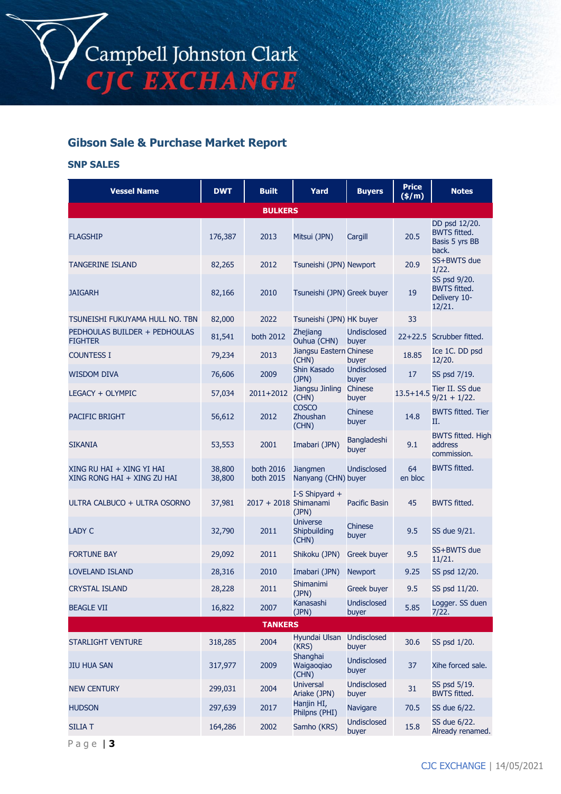

## **Gibson Sale & Purchase Market Report**

#### **SNP SALES**

| <b>Vessel Name</b>                                       | <b>DWT</b>       | <b>Built</b>           | Yard                                     | <b>Buyers</b>               | <b>Price</b><br>(\$/m) | <b>Notes</b>                                                    |
|----------------------------------------------------------|------------------|------------------------|------------------------------------------|-----------------------------|------------------------|-----------------------------------------------------------------|
|                                                          |                  | <b>BULKERS</b>         |                                          |                             |                        |                                                                 |
| <b>FLAGSHIP</b>                                          | 176,387          | 2013                   | Mitsui (JPN)                             | Cargill                     | 20.5                   | DD psd 12/20.<br><b>BWTS fitted.</b><br>Basis 5 yrs BB<br>back. |
| <b>TANGERINE ISLAND</b>                                  | 82,265           | 2012                   | Tsuneishi (JPN) Newport                  |                             | 20.9                   | SS+BWTS due<br>1/22.                                            |
| <b>JAIGARH</b>                                           | 82,166           | 2010                   | Tsuneishi (JPN) Greek buyer              |                             | 19                     | SS psd 9/20.<br><b>BWTS fitted.</b><br>Delivery 10-<br>12/21.   |
| TSUNEISHI FUKUYAMA HULL NO. TBN                          | 82,000           | 2022                   | Tsuneishi (JPN) HK buyer                 |                             | 33                     |                                                                 |
| PEDHOULAS BUILDER + PEDHOULAS<br><b>FIGHTER</b>          | 81,541           | both 2012              | Zhejiang<br>Ouhua (CHN)                  | <b>Undisclosed</b><br>buyer |                        | 22+22.5 Scrubber fitted.                                        |
| <b>COUNTESS I</b>                                        | 79,234           | 2013                   | Jiangsu Eastern Chinese<br>(CHN)         | buyer                       | 18.85                  | Ice 1C. DD psd<br>12/20.                                        |
| <b>WISDOM DIVA</b>                                       | 76,606           | 2009                   | Shin Kasado<br>(JPN)                     | <b>Undisclosed</b><br>buyer | 17                     | SS psd 7/19.                                                    |
| LEGACY + OLYMPIC                                         | 57,034           | 2011+2012              | Jiangsu Jinling<br>(CHN)                 | Chinese<br>buyer            |                        | 13.5+14.5 Tier II. SS due<br>$9/21 + 1/22$ .                    |
| <b>PACIFIC BRIGHT</b>                                    | 56,612           | 2012                   | <b>COSCO</b><br>Zhoushan<br>(CHN)        | Chinese<br>buyer            | 14.8                   | <b>BWTS fitted. Tier</b><br>Π.                                  |
| <b>SIKANIA</b>                                           | 53,553           | 2001                   | Imabari (JPN)                            | <b>Bangladeshi</b><br>buyer | 9.1                    | <b>BWTS fitted. High</b><br>address<br>commission.              |
| XING RU HAI + XING YI HAI<br>XING RONG HAI + XING ZU HAI | 38,800<br>38,800 | both 2016<br>both 2015 | <b>Jiangmen</b><br>Nanyang (CHN) buyer   | <b>Undisclosed</b>          | 64<br>en bloc          | <b>BWTS fitted.</b>                                             |
| ULTRA CALBUCO + ULTRA OSORNO                             | 37,981           | 2017 + 2018 Shimanami  | I-S Shipyard +<br>(JPN)                  | Pacific Basin               | 45                     | <b>BWTS fitted.</b>                                             |
| <b>LADY C</b>                                            | 32,790           | 2011                   | <b>Universe</b><br>Shipbuilding<br>(CHN) | Chinese<br>buyer            | 9.5                    | SS due 9/21.                                                    |
| <b>FORTUNE BAY</b>                                       | 29,092           | 2011                   | Shikoku (JPN)                            | <b>Greek buyer</b>          | 9.5                    | SS+BWTS due<br>11/21.                                           |
| <b>LOVELAND ISLAND</b>                                   | 28,316           | 2010                   | Imabari (JPN)                            | <b>Newport</b>              | 9.25                   | SS psd 12/20.                                                   |
| <b>CRYSTAL ISLAND</b>                                    | 28,228           | 2011                   | Shimanimi<br>(JPN)                       | <b>Greek buyer</b>          | 9.5                    | SS psd 11/20.                                                   |
| <b>BEAGLE VII</b>                                        | 16,822           | 2007                   | Kanasashi<br>(JPN)                       | Undisclosed<br>buyer        | 5.85                   | Logger. SS duen<br>7/22.                                        |
|                                                          |                  | <b>TANKERS</b>         |                                          |                             |                        |                                                                 |
| <b>STARLIGHT VENTURE</b>                                 | 318,285          | 2004                   | Hyundai Ulsan<br>(KRS)                   | <b>Undisclosed</b><br>buyer | 30.6                   | SS psd 1/20.                                                    |
| <b>JIU HUA SAN</b>                                       | 317,977          | 2009                   | Shanghai<br>Waigaogiao<br>(CHN)          | <b>Undisclosed</b><br>buyer | 37                     | Xihe forced sale.                                               |
| <b>NEW CENTURY</b>                                       | 299,031          | 2004                   | <b>Universal</b><br>Ariake (JPN)         | <b>Undisclosed</b><br>buyer | 31                     | SS psd 5/19.<br><b>BWTS fitted.</b>                             |
| <b>HUDSON</b>                                            | 297,639          | 2017                   | Hanjin HI,<br>Philpns (PHI)              | Navigare                    | 70.5                   | SS due 6/22.                                                    |
| <b>SILIA T</b>                                           | 164,286          | 2002                   | Samho (KRS)                              | <b>Undisclosed</b><br>buyer | 15.8                   | SS due 6/22.<br>Already renamed.                                |

P a g e | **3**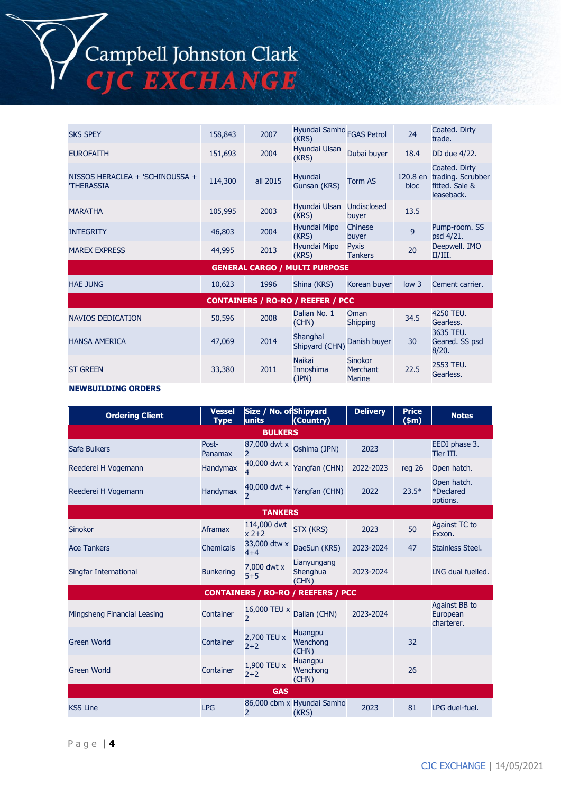## Campbell Johnston Clark **C EXCHANGE**

SKS SPEY 158,843 <sup>2007</sup> Hyundai Samho (KRS) FGAS Petrol <sup>24</sup> Coated. Dirty trade. EUROFAITH 151,693 2004 Hyundai Ulsan Dubai buyer 18.4 DD due 4/22. NISSOS HERACLEA + 'SCHINOUSSA + 'THERASSIA 114,300 all 2015 Hyundai Hyundai **France Community** Torm AS 120.8 en and the sum of the sum of the top of the top of the top of the top of the top of the top of the top of the top of the top of the top of the top of the top of the top of the top o bloc Coated. Dirty trading. Scrubber fitted. Sale & leaseback. MARATHA 105,995 2003 Hyundai Ulsan (KRS) Undisclosed buyer 13.5 INTEGRITY 46,803 2004 Hyundai Mipo (KRS) Chinese Chinese<br>buyer 9 Pump-room. SS psd 4/21. MAREX EXPRESS 44,995 2013 Hyundai Mipo (KRS) Pyxis Pyxis<br>Tankers 20 Deepwell. IMO II/III. **GENERAL CARGO / MULTI PURPOSE** HAE JUNG 10,623 1996 Shina (KRS) Korean buyer low 3 Cement carrier. **CONTAINERS / RO-RO / REEFER / PCC** NAVIOS DEDICATION 50,596 2008 Dalian No. 1 (CHN) Oman Shipping 34.5 4250 TEU. Gearless. HANSA AMERICA 47,069 <sup>2014</sup> Shanghai Shipyard (CHN) Danish buyer 30 3635 TEU. Geared. SS psd 8/20. ST GREEN 33,380 2011 Naikai Innoshima (JPN) **Sinokor** Merchant **Marine** 22.5 2553 TEU. Gearless.

#### **NEWBUILDING ORDERS**

| <b>Ordering Client</b>                    | <b>Vessel</b><br><b>Type</b> | Size / No. of Shipyard<br>units          | (Country)                           | <b>Delivery</b> | <b>Price</b><br>\$m\$ | <b>Notes</b>                            |  |
|-------------------------------------------|------------------------------|------------------------------------------|-------------------------------------|-----------------|-----------------------|-----------------------------------------|--|
| <b>BULKERS</b>                            |                              |                                          |                                     |                 |                       |                                         |  |
| Safe Bulkers                              | Post-<br>Panamax             | 87,000 dwt x<br>$\mathcal{P}$            | Oshima (JPN)                        | 2023            |                       | EEDI phase 3.<br>Tier III.              |  |
| Reederei H Vogemann                       | Handymax                     | 4                                        | 40,000 dwt x Yangfan (CHN)          | 2022-2023       | reg 26                | Open hatch.                             |  |
| Reederei H Vogemann                       | Handymax                     | $\overline{\phantom{1}}$                 | 40,000 dwt + $Y$ angfan (CHN)       | 2022            | $23.5*$               | Open hatch.<br>*Declared<br>options.    |  |
|                                           |                              | <b>TANKERS</b>                           |                                     |                 |                       |                                         |  |
| <b>Sinokor</b>                            | Aframax                      | 114,000 dwt<br>$x^2+2$                   | STX (KRS)                           | 2023            | 50                    | Against TC to<br>Exxon.                 |  |
| <b>Ace Tankers</b>                        | <b>Chemicals</b>             | 33,000 dtw x<br>$4 + 4$                  | DaeSun (KRS)                        | 2023-2024       | 47                    | Stainless Steel.                        |  |
| Singfar International                     | <b>Bunkering</b>             | 7,000 dwt x<br>$5 + 5$                   | Lianyungang<br>Shenghua<br>(CHN)    | 2023-2024       |                       | LNG dual fuelled.                       |  |
| <b>CONTAINERS / RO-RO / REEFERS / PCC</b> |                              |                                          |                                     |                 |                       |                                         |  |
| Mingsheng Financial Leasing               | Container                    | 16,000 TEU x<br>$\overline{\phantom{a}}$ | Dalian (CHN)                        | 2023-2024       |                       | Against BB to<br>European<br>charterer. |  |
| <b>Green World</b>                        | Container                    | 2,700 TEU x<br>$2+2$                     | <b>Huangpu</b><br>Wenchong<br>(CHN) |                 | 32                    |                                         |  |
| <b>Green World</b>                        | Container                    | 1,900 TEU x<br>$2 + 2$                   | Huangpu<br>Wenchong<br>(CHN)        |                 | 26                    |                                         |  |
| <b>GAS</b>                                |                              |                                          |                                     |                 |                       |                                         |  |
| <b>KSS Line</b>                           | <b>LPG</b>                   | $\overline{2}$                           | 86,000 cbm x Hyundai Samho<br>(KRS) | 2023            | 81                    | LPG duel-fuel.                          |  |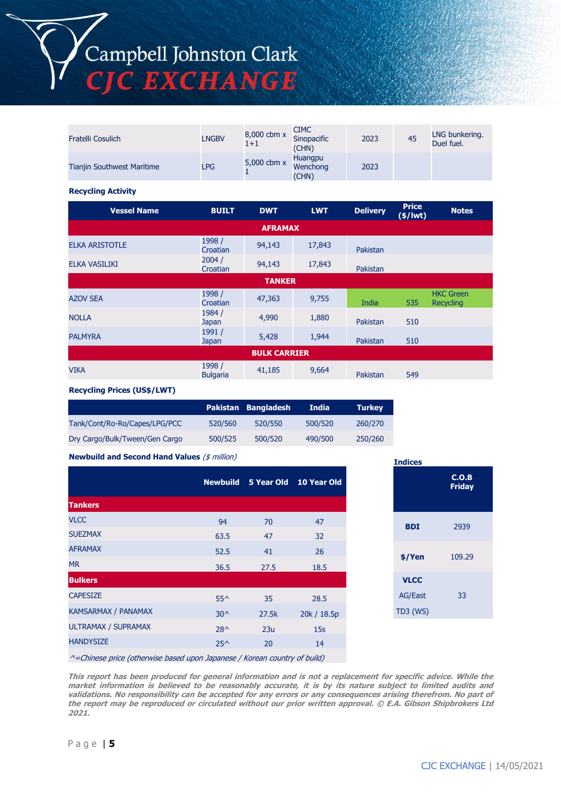Campbell Johnston Clark<br>CJC EXCHANGE

| Fratelli Cosulich                 | <b>LNGBV</b> | 8,000 cbm x<br>$1 + 1$ | <b>CIMC</b><br>Sinopacific<br>(CHN) | 2023 | 45 | LNG bunkering.<br>Duel fuel. |
|-----------------------------------|--------------|------------------------|-------------------------------------|------|----|------------------------------|
| <b>Tianjin Southwest Maritime</b> | <b>LPG</b>   | 5,000 cbm x            | Huangpu<br>Wenchong<br>(CHN)        | 2023 |    |                              |

#### **Recycling Activity**

| <b>Vessel Name</b>    | <b>BUILT</b>              | <b>DWT</b>     | <b>LWT</b> | <b>Delivery</b> | <b>Price</b><br>$($/$ lwt $)$ | <b>Notes</b>                         |
|-----------------------|---------------------------|----------------|------------|-----------------|-------------------------------|--------------------------------------|
|                       |                           | <b>AFRAMAX</b> |            |                 |                               |                                      |
| <b>ELKA ARISTOTLE</b> | 1998 /<br>Croatian        | 94,143         | 17,843     | Pakistan        |                               |                                      |
| ELKA VASILIKI         | 2004/<br>Croatian         | 94,143         | 17,843     | Pakistan        |                               |                                      |
|                       |                           | <b>TANKER</b>  |            |                 |                               |                                      |
| <b>AZOV SEA</b>       | 1998 /<br>Croatian        | 47,363         | 9,755      | India           | 535                           | <b>HKC Green</b><br><b>Recycling</b> |
| <b>NOLLA</b>          | 1984 /<br><b>Japan</b>    | 4,990          | 1,880      | Pakistan        | 510                           |                                      |
| <b>PALMYRA</b>        | 1991/<br><b>Japan</b>     | 5,428          | 1,944      | Pakistan        | 510                           |                                      |
| <b>BULK CARRIER</b>   |                           |                |            |                 |                               |                                      |
| <b>VIKA</b>           | 1998 /<br><b>Bulgaria</b> | 41,185         | 9,664      | Pakistan        | 549                           |                                      |

**Recycling Prices (US\$/LWT)**

|                                |         | Pakistan Bangladesh | India   | <b>Turkey</b> |
|--------------------------------|---------|---------------------|---------|---------------|
| Tank/Cont/Ro-Ro/Capes/LPG/PCC  | 520/560 | 520/550             | 500/520 | 260/270       |
| Dry Cargo/Bulk/Tween/Gen Cargo | 500/525 | 500/520             | 490/500 | 250/260       |

**Newbuild and Second Hand Values** (\$ million)

|                            |               |       | Newbuild 5 Year Old 10 Year Old |
|----------------------------|---------------|-------|---------------------------------|
| <b>Tankers</b>             |               |       |                                 |
| <b>VLCC</b>                | 94            | 70    | 47                              |
| <b>SUEZMAX</b>             | 63.5          | 47    | 32                              |
| <b>AFRAMAX</b>             | 52.5          | 41    | 26                              |
| <b>MR</b>                  | 36.5          | 27.5  | 18.5                            |
| <b>Bulkers</b>             |               |       |                                 |
| <b>CAPESIZE</b>            | $55^{\wedge}$ | 35    | 28.5                            |
| <b>KAMSARMAX / PANAMAX</b> | $30^{\circ}$  | 27.5k | 20k / 18.5p                     |
| ULTRAMAX / SUPRAMAX        | $28^{\wedge}$ | 23u   | 15s                             |
| <b>HANDYSIZE</b>           | $25^{\wedge}$ | 20    | 14                              |
|                            |               |       |                                 |

| <b>Indices</b>                            | C.O.B<br><b>Friday</b> |
|-------------------------------------------|------------------------|
| <b>BDI</b>                                | 2939                   |
| \$/Yen                                    | 109.29                 |
| <b>VLCC</b><br><b>AG/East</b><br>TD3 (WS) | 33                     |

^=Chinese price (otherwise based upon Japanese / Korean country of build)

**This report has been produced for general information and is not a replacement for specific advice. While the market information is believed to be reasonably accurate, it is by its nature subject to limited audits and validations. No responsibility can be accepted for any errors or any consequences arising therefrom. No part of the report may be reproduced or circulated without our prior written approval. © E.A. Gibson Shipbrokers Ltd 2021.**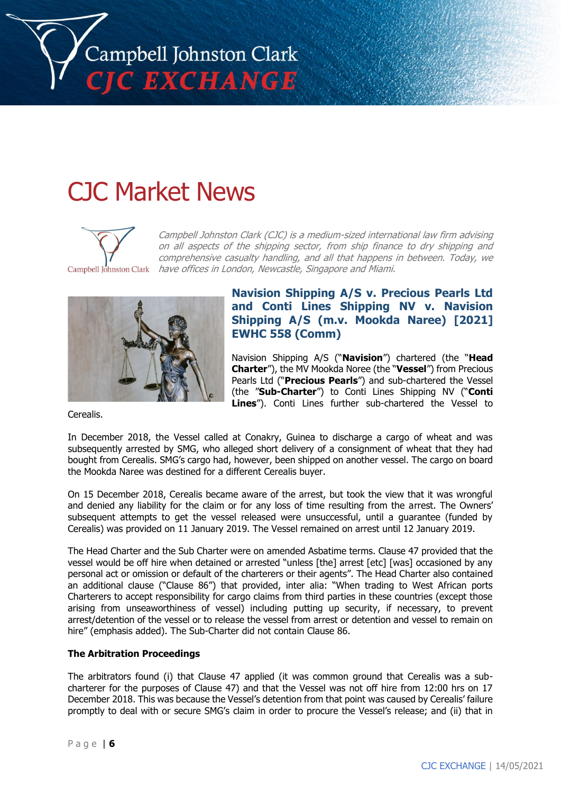

# CJC Market News

Campbell Johnston Clark (CJC) is a medium-sized international law firm advising on all aspects of the shipping sector, from ship finance to dry shipping and comprehensive casualty handling, and all that happens in between. Today, we have offices in London, Newcastle, Singapore and Miami.



Campbell Johnston Clark

Cerealis.

## **Navision Shipping A/S v. Precious Pearls Ltd and Conti Lines Shipping NV v. Navision Shipping A/S (m.v. Mookda Naree) [2021] EWHC 558 (Comm)**

Navision Shipping A/S ("**Navision**") chartered (the "**Head Charter**"), the MV Mookda Noree (the "**Vessel**") from Precious Pearls Ltd ("**Precious Pearls**") and sub-chartered the Vessel (the "**Sub-Charter**") to Conti Lines Shipping NV ("**Conti Lines**"). Conti Lines further sub-chartered the Vessel to

In December 2018, the Vessel called at Conakry, Guinea to discharge a cargo of wheat and was subsequently arrested by SMG, who alleged short delivery of a consignment of wheat that they had bought from Cerealis. SMG's cargo had, however, been shipped on another vessel. The cargo on board the Mookda Naree was destined for a different Cerealis buyer.

On 15 December 2018, Cerealis became aware of the arrest, but took the view that it was wrongful and denied any liability for the claim or for any loss of time resulting from the arrest. The Owners' subsequent attempts to get the vessel released were unsuccessful, until a guarantee (funded by Cerealis) was provided on 11 January 2019. The Vessel remained on arrest until 12 January 2019.

The Head Charter and the Sub Charter were on amended Asbatime terms. Clause 47 provided that the vessel would be off hire when detained or arrested "unless [the] arrest [etc] [was] occasioned by any personal act or omission or default of the charterers or their agents". The Head Charter also contained an additional clause ("Clause 86") that provided, inter alia: "When trading to West African ports Charterers to accept responsibility for cargo claims from third parties in these countries (except those arising from unseaworthiness of vessel) including putting up security, if necessary, to prevent arrest/detention of the vessel or to release the vessel from arrest or detention and vessel to remain on hire" (emphasis added). The Sub-Charter did not contain Clause 86.

#### **The Arbitration Proceedings**

The arbitrators found (i) that Clause 47 applied (it was common ground that Cerealis was a subcharterer for the purposes of Clause 47) and that the Vessel was not off hire from 12:00 hrs on 17 December 2018. This was because the Vessel's detention from that point was caused by Cerealis' failure promptly to deal with or secure SMG's claim in order to procure the Vessel's release; and (ii) that in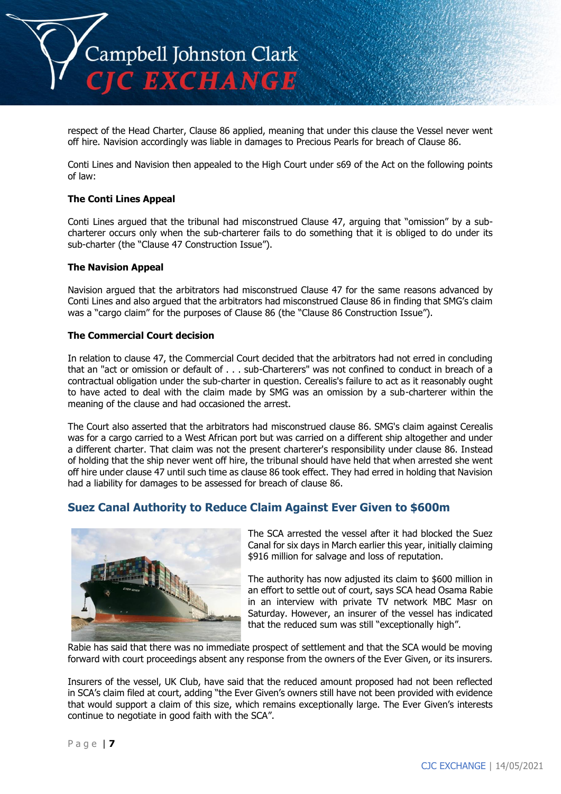

respect of the Head Charter, Clause 86 applied, meaning that under this clause the Vessel never went off hire. Navision accordingly was liable in damages to Precious Pearls for breach of Clause 86.

Conti Lines and Navision then appealed to the High Court under s69 of the Act on the following points of law:

#### **The Conti Lines Appeal**

Conti Lines argued that the tribunal had misconstrued Clause 47, arguing that "omission" by a subcharterer occurs only when the sub-charterer fails to do something that it is obliged to do under its sub-charter (the "Clause 47 Construction Issue").

#### **The Navision Appeal**

Navision argued that the arbitrators had misconstrued Clause 47 for the same reasons advanced by Conti Lines and also argued that the arbitrators had misconstrued Clause 86 in finding that SMG's claim was a "cargo claim" for the purposes of Clause 86 (the "Clause 86 Construction Issue").

#### **The Commercial Court decision**

In relation to clause 47, the Commercial Court decided that the arbitrators had not erred in concluding that an "act or omission or default of . . . sub-Charterers" was not confined to conduct in breach of a contractual obligation under the sub-charter in question. Cerealis's failure to act as it reasonably ought to have acted to deal with the claim made by SMG was an omission by a sub-charterer within the meaning of the clause and had occasioned the arrest.

The Court also asserted that the arbitrators had misconstrued clause 86. SMG's claim against Cerealis was for a cargo carried to a West African port but was carried on a different ship altogether and under a different charter. That claim was not the present charterer's responsibility under clause 86. Instead of holding that the ship never went off hire, the tribunal should have held that when arrested she went off hire under clause 47 until such time as clause 86 took effect. They had erred in holding that Navision had a liability for damages to be assessed for breach of clause 86.

## **Suez Canal Authority to Reduce Claim Against Ever Given to \$600m**



The SCA arrested the vessel after it had blocked the Suez Canal for six days in March earlier this year, initially claiming \$916 million for salvage and loss of reputation.

The authority has now adjusted its claim to \$600 million in an effort to settle out of court, says SCA head Osama Rabie in an interview with private TV network MBC Masr on Saturday. However, an insurer of the vessel has indicated that the reduced sum was still "exceptionally high".

Rabie has said that there was no immediate prospect of settlement and that the SCA would be moving forward with court proceedings absent any response from the owners of the Ever Given, or its insurers.

Insurers of the vessel, UK Club, have said that the reduced amount proposed had not been reflected in SCA's claim filed at court, adding "the Ever Given's owners still have not been provided with evidence that would support a claim of this size, which remains exceptionally large. The Ever Given's interests continue to negotiate in good faith with the SCA".